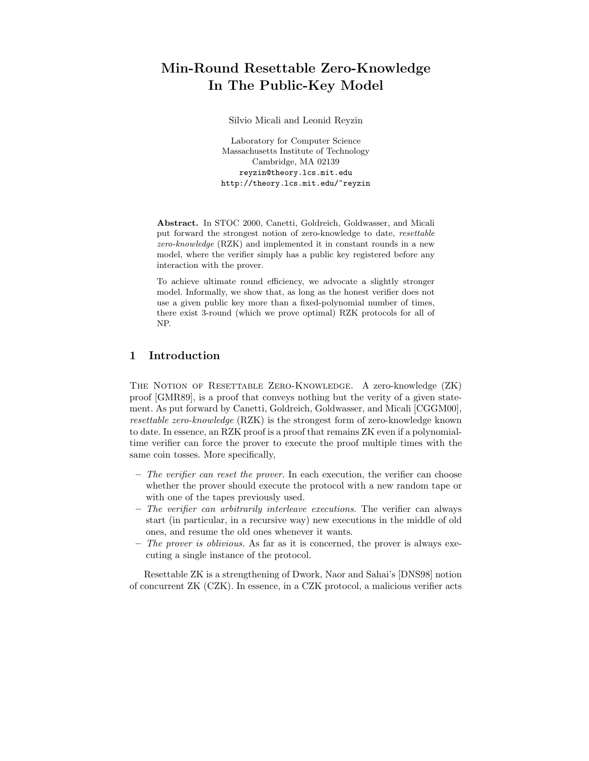# Min-Round Resettable Zero-Knowledge In The Public-Key Model

Silvio Micali and Leonid Reyzin

Laboratory for Computer Science Massachusetts Institute of Technology Cambridge, MA 02139 reyzin@theory.lcs.mit.edu http://theory.lcs.mit.edu/~reyzin

Abstract. In STOC 2000, Canetti, Goldreich, Goldwasser, and Micali put forward the strongest notion of zero-knowledge to date, resettable zero-knowledge (RZK) and implemented it in constant rounds in a new model, where the verifier simply has a public key registered before any interaction with the prover.

To achieve ultimate round efficiency, we advocate a slightly stronger model. Informally, we show that, as long as the honest verifier does not use a given public key more than a fixed-polynomial number of times, there exist 3-round (which we prove optimal) RZK protocols for all of NP.

# 1 Introduction

THE NOTION OF RESETTABLE ZERO-KNOWLEDGE. A zero-knowledge (ZK) proof [GMR89], is a proof that conveys nothing but the verity of a given statement. As put forward by Canetti, Goldreich, Goldwasser, and Micali [CGGM00], resettable zero-knowledge (RZK) is the strongest form of zero-knowledge known to date. In essence, an RZK proof is a proof that remains ZK even if a polynomialtime verifier can force the prover to execute the proof multiple times with the same coin tosses. More specifically,

- $-$  The verifier can reset the prover. In each execution, the verifier can choose whether the prover should execute the protocol with a new random tape or with one of the tapes previously used.
- The verifier can arbitrarily interleave executions. The verifier can always start (in particular, in a recursive way) new executions in the middle of old ones, and resume the old ones whenever it wants.
- The prover is oblivious. As far as it is concerned, the prover is always executing a single instance of the protocol.

Resettable ZK is a strengthening of Dwork, Naor and Sahai's [DNS98] notion of concurrent ZK (CZK). In essence, in a CZK protocol, a malicious verifier acts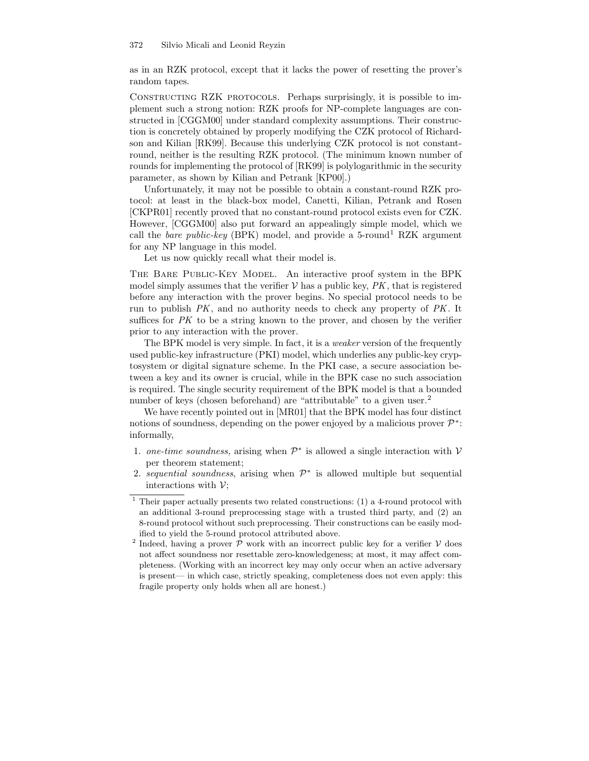as in an RZK protocol, except that it lacks the power of resetting the prover's random tapes.

CONSTRUCTING RZK PROTOCOLS. Perhaps surprisingly, it is possible to implement such a strong notion: RZK proofs for NP-complete languages are constructed in [CGGM00] under standard complexity assumptions. Their construction is concretely obtained by properly modifying the CZK protocol of Richardson and Kilian [RK99]. Because this underlying CZK protocol is not constantround, neither is the resulting RZK protocol. (The minimum known number of rounds for implementing the protocol of [RK99] is polylogarithmic in the security parameter, as shown by Kilian and Petrank [KP00].)

Unfortunately, it may not be possible to obtain a constant-round RZK protocol: at least in the black-box model, Canetti, Kilian, Petrank and Rosen [CKPR01] recently proved that no constant-round protocol exists even for CZK. However, [CGGM00] also put forward an appealingly simple model, which we call the *bare public-key* (BPK) model, and provide a 5-round<sup>1</sup> RZK argument for any NP language in this model.

Let us now quickly recall what their model is.

The Bare Public-Key Model. An interactive proof system in the BPK model simply assumes that the verifier  $V$  has a public key,  $PK$ , that is registered before any interaction with the prover begins. No special protocol needs to be run to publish  $PK$ , and no authority needs to check any property of  $PK$ . It suffices for  $PK$  to be a string known to the prover, and chosen by the verifier prior to any interaction with the prover.

The BPK model is very simple. In fact, it is a weaker version of the frequently used public-key infrastructure (PKI) model, which underlies any public-key cryptosystem or digital signature scheme. In the PKI case, a secure association between a key and its owner is crucial, while in the BPK case no such association is required. The single security requirement of the BPK model is that a bounded number of keys (chosen beforehand) are "attributable" to a given user.<sup>2</sup>

We have recently pointed out in [MR01] that the BPK model has four distinct notions of soundness, depending on the power enjoyed by a malicious prover  $\mathcal{P}^*$ : informally,

- 1. one-time soundness, arising when  $\mathcal{P}^*$  is allowed a single interaction with  $\mathcal{V}$ per theorem statement;
- 2. sequential soundness, arising when  $\mathcal{P}^*$  is allowed multiple but sequential interactions with  $\mathcal{V}$ :

 $^{\rm 1}$  Their paper actually presents two related constructions: (1) a 4-round protocol with an additional 3-round preprocessing stage with a trusted third party, and (2) an 8-round protocol without such preprocessing. Their constructions can be easily modified to yield the 5-round protocol attributed above.

<sup>&</sup>lt;sup>2</sup> Indeed, having a prover  $\overline{P}$  work with an incorrect public key for a verifier  $V$  does not affect soundness nor resettable zero-knowledgeness; at most, it may affect completeness. (Working with an incorrect key may only occur when an active adversary is present— in which case, strictly speaking, completeness does not even apply: this fragile property only holds when all are honest.)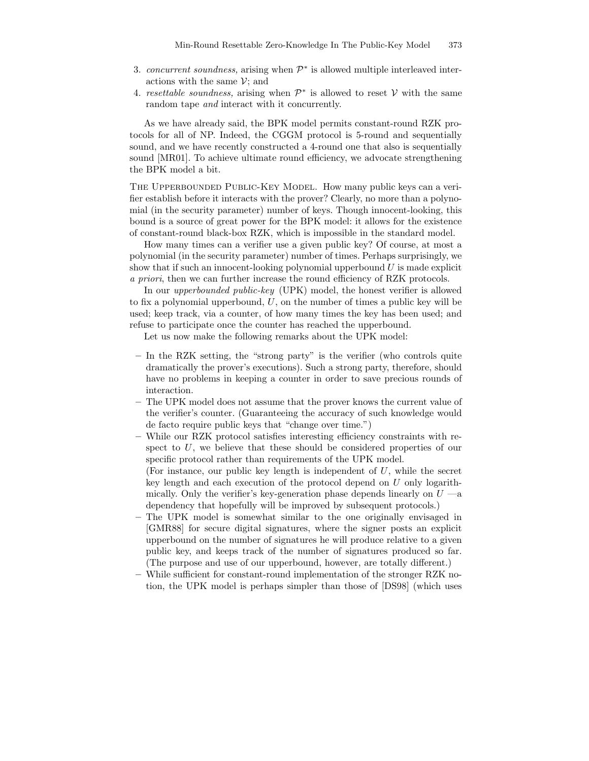- 3. concurrent soundness, arising when  $\mathcal{P}^*$  is allowed multiple interleaved interactions with the same  $\mathcal V$ : and
- 4. resettable soundness, arising when  $\mathcal{P}^*$  is allowed to reset V with the same random tape and interact with it concurrently.

As we have already said, the BPK model permits constant-round RZK protocols for all of NP. Indeed, the CGGM protocol is 5-round and sequentially sound, and we have recently constructed a 4-round one that also is sequentially sound [MR01]. To achieve ultimate round efficiency, we advocate strengthening the BPK model a bit.

THE UPPERBOUNDED PUBLIC-KEY MODEL. How many public keys can a verifier establish before it interacts with the prover? Clearly, no more than a polynomial (in the security parameter) number of keys. Though innocent-looking, this bound is a source of great power for the BPK model: it allows for the existence of constant-round black-box RZK, which is impossible in the standard model.

How many times can a verifier use a given public key? Of course, at most a polynomial (in the security parameter) number of times. Perhaps surprisingly, we show that if such an innocent-looking polynomial upperbound  $U$  is made explicit a priori, then we can further increase the round efficiency of RZK protocols.

In our upperbounded public-key (UPK) model, the honest verifier is allowed to fix a polynomial upperbound,  $U$ , on the number of times a public key will be used; keep track, via a counter, of how many times the key has been used; and refuse to participate once the counter has reached the upperbound.

Let us now make the following remarks about the UPK model:

- In the RZK setting, the "strong party" is the verifier (who controls quite dramatically the prover's executions). Such a strong party, therefore, should have no problems in keeping a counter in order to save precious rounds of interaction.
- The UPK model does not assume that the prover knows the current value of the verifier's counter. (Guaranteeing the accuracy of such knowledge would de facto require public keys that "change over time.")
- While our RZK protocol satisfies interesting efficiency constraints with respect to  $U$ , we believe that these should be considered properties of our specific protocol rather than requirements of the UPK model.
- (For instance, our public key length is independent of  $U$ , while the secret key length and each execution of the protocol depend on U only logarithmically. Only the verifier's key-generation phase depends linearly on  $U$  —a dependency that hopefully will be improved by subsequent protocols.)
- The UPK model is somewhat similar to the one originally envisaged in [GMR88] for secure digital signatures, where the signer posts an explicit upperbound on the number of signatures he will produce relative to a given public key, and keeps track of the number of signatures produced so far. (The purpose and use of our upperbound, however, are totally different.)
- While sufficient for constant-round implementation of the stronger RZK notion, the UPK model is perhaps simpler than those of [DS98] (which uses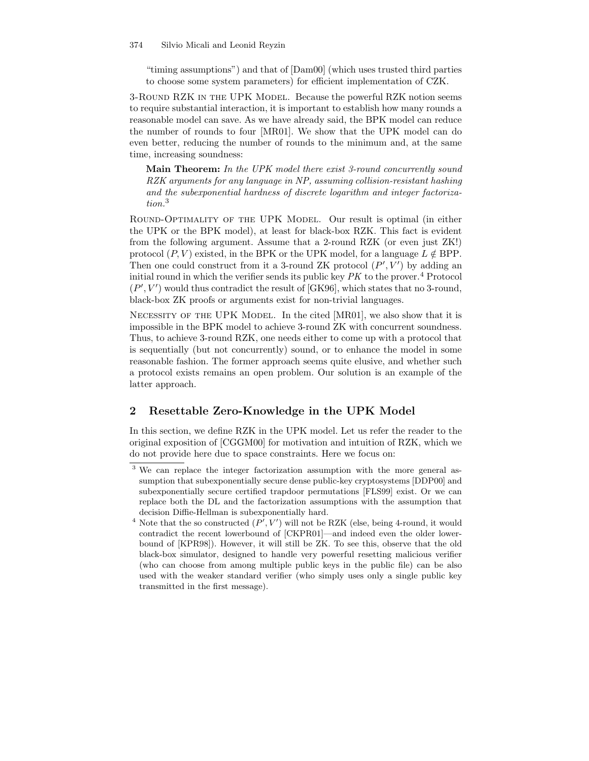"timing assumptions") and that of [Dam00] (which uses trusted third parties to choose some system parameters) for efficient implementation of CZK.

3-Round RZK in the UPK Model. Because the powerful RZK notion seems to require substantial interaction, it is important to establish how many rounds a reasonable model can save. As we have already said, the BPK model can reduce the number of rounds to four [MR01]. We show that the UPK model can do even better, reducing the number of rounds to the minimum and, at the same time, increasing soundness:

Main Theorem: In the UPK model there exist 3-round concurrently sound RZK arguments for any language in NP, assuming collision-resistant hashing and the subexponential hardness of discrete logarithm and integer factorization.<sup>3</sup>

ROUND-OPTIMALITY OF THE UPK MODEL. Our result is optimal (in either the UPK or the BPK model), at least for black-box RZK. This fact is evident from the following argument. Assume that a 2-round RZK (or even just ZK!) protocol  $(P, V)$  existed, in the BPK or the UPK model, for a language  $L \notin BPP$ . Then one could construct from it a 3-round ZK protocol  $(P', V')$  by adding an initial round in which the verifier sends its public key  $PK$  to the prover.<sup>4</sup> Protocol  $(P', V')$  would thus contradict the result of [GK96], which states that no 3-round, black-box ZK proofs or arguments exist for non-trivial languages.

NECESSITY OF THE UPK MODEL. In the cited [MR01], we also show that it is impossible in the BPK model to achieve 3-round ZK with concurrent soundness. Thus, to achieve 3-round RZK, one needs either to come up with a protocol that is sequentially (but not concurrently) sound, or to enhance the model in some reasonable fashion. The former approach seems quite elusive, and whether such a protocol exists remains an open problem. Our solution is an example of the latter approach.

# 2 Resettable Zero-Knowledge in the UPK Model

In this section, we define RZK in the UPK model. Let us refer the reader to the original exposition of [CGGM00] for motivation and intuition of RZK, which we do not provide here due to space constraints. Here we focus on:

<sup>&</sup>lt;sup>3</sup> We can replace the integer factorization assumption with the more general assumption that subexponentially secure dense public-key cryptosystems [DDP00] and subexponentially secure certified trapdoor permutations [FLS99] exist. Or we can replace both the DL and the factorization assumptions with the assumption that decision Diffie-Hellman is subexponentially hard.

<sup>&</sup>lt;sup>4</sup> Note that the so constructed  $(P', V')$  will not be RZK (else, being 4-round, it would contradict the recent lowerbound of [CKPR01]—and indeed even the older lowerbound of [KPR98]). However, it will still be ZK. To see this, observe that the old black-box simulator, designed to handle very powerful resetting malicious verifier (who can choose from among multiple public keys in the public file) can be also used with the weaker standard verifier (who simply uses only a single public key transmitted in the first message).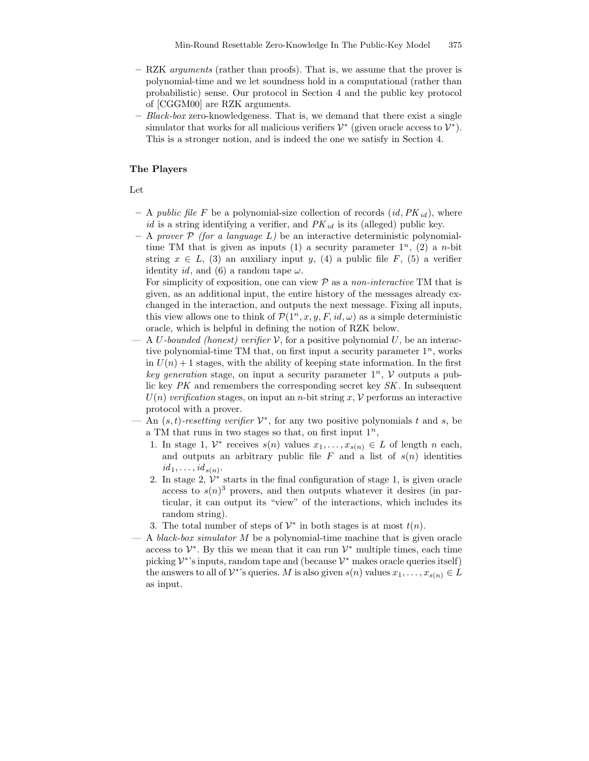- RZK arguments (rather than proofs). That is, we assume that the prover is polynomial-time and we let soundness hold in a computational (rather than probabilistic) sense. Our protocol in Section 4 and the public key protocol of [CGGM00] are RZK arguments.
- $Black-box$  zero-knowledgeness. That is, we demand that there exist a single simulator that works for all malicious verifiers  $\mathcal{V}^*$  (given oracle access to  $\mathcal{V}^*$ ). This is a stronger notion, and is indeed the one we satisfy in Section 4.

#### The Players

Let

- A public file F be a polynomial-size collection of records  $(id, PK_{id})$ , where id is a string identifying a verifier, and  $PK_{id}$  is its (alleged) public key.
- A prover  $\mathcal P$  (for a language L) be an interactive deterministic polynomialtime TM that is given as inputs (1) a security parameter  $1^n$ , (2) a *n*-bit string  $x \in L$ , (3) an auxiliary input y, (4) a public file F, (5) a verifier identity id, and (6) a random tape  $\omega$ .

For simplicity of exposition, one can view  $P$  as a non-interactive TM that is given, as an additional input, the entire history of the messages already exchanged in the interaction, and outputs the next message. Fixing all inputs, this view allows one to think of  $\mathcal{P}(1^n, x, y, F, id, \omega)$  as a simple deterministic oracle, which is helpful in defining the notion of RZK below.

- A U-bounded (honest) verifier V, for a positive polynomial U, be an interactive polynomial-time TM that, on first input a security parameter  $1<sup>n</sup>$ , works in  $U(n) + 1$  stages, with the ability of keeping state information. In the first key generation stage, on input a security parameter  $1^n$ , V outputs a public key PK and remembers the corresponding secret key SK. In subsequent  $U(n)$  verification stages, on input an n-bit string x, V performs an interactive protocol with a prover.
- $-$  An  $(s, t)$ -resetting verifier  $\mathcal{V}^*$ , for any two positive polynomials t and s, be a TM that runs in two stages so that, on first input  $1^n$ ,
	- 1. In stage 1,  $V^*$  receives  $s(n)$  values  $x_1, \ldots, x_{s(n)} \in L$  of length n each, and outputs an arbitrary public file  $F$  and a list of  $s(n)$  identities  $id_1, \ldots, id_{s(n)}$ .
	- 2. In stage 2,  $\mathcal{V}^*$  starts in the final configuration of stage 1, is given oracle access to  $s(n)^3$  provers, and then outputs whatever it desires (in particular, it can output its "view" of the interactions, which includes its random string).
	- 3. The total number of steps of  $\mathcal{V}^*$  in both stages is at most  $t(n)$ .
- A black-box simulator M be a polynomial-time machine that is given oracle access to  $\mathcal{V}^*$ . By this we mean that it can run  $\mathcal{V}^*$  multiple times, each time picking  $V^*$ 's inputs, random tape and (because  $V^*$  makes oracle queries itself) the answers to all of  $V^*$ 's queries. M is also given  $s(n)$  values  $x_1, \ldots, x_{s(n)} \in L$ as input.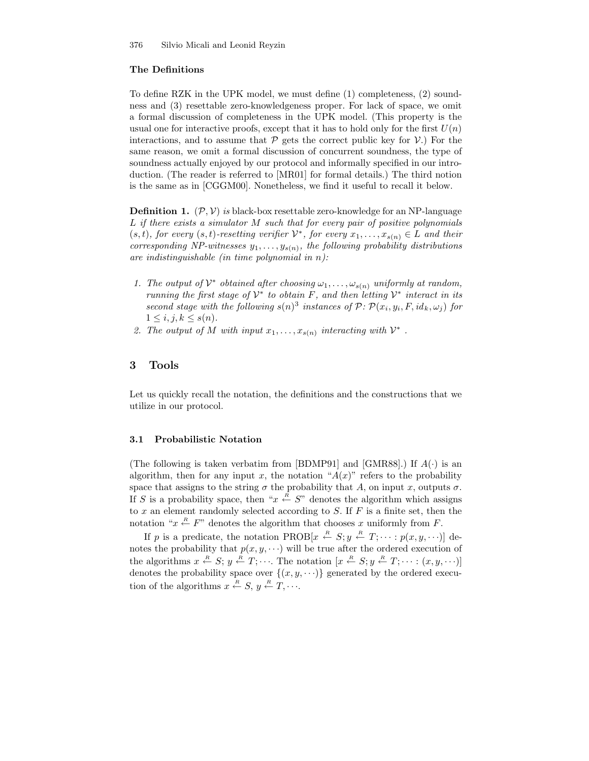#### The Definitions

To define RZK in the UPK model, we must define (1) completeness, (2) soundness and (3) resettable zero-knowledgeness proper. For lack of space, we omit a formal discussion of completeness in the UPK model. (This property is the usual one for interactive proofs, except that it has to hold only for the first  $U(n)$ interactions, and to assume that  $P$  gets the correct public key for  $V$ .) For the same reason, we omit a formal discussion of concurrent soundness, the type of soundness actually enjoyed by our protocol and informally specified in our introduction. (The reader is referred to [MR01] for formal details.) The third notion is the same as in [CGGM00]. Nonetheless, we find it useful to recall it below.

**Definition 1.**  $(\mathcal{P}, \mathcal{V})$  is black-box resettable zero-knowledge for an NP-language  $L$  if there exists a simulator M such that for every pair of positive polynomials  $(s,t)$ , for every  $(s,t)$ -resetting verifier  $\mathcal{V}^*$ , for every  $x_1,\ldots,x_{s(n)} \in L$  and their corresponding NP-witnesses  $y_1, \ldots, y_{s(n)}$ , the following probability distributions are indistinguishable (in time polynomial in  $n$ ):

- 1. The output of  $\mathcal{V}^*$  obtained after choosing  $\omega_1, \ldots, \omega_{s(n)}$  uniformly at random, running the first stage of  $\mathcal{V}^*$  to obtain F, and then letting  $\mathcal{V}^*$  interact in its second stage with the following  $s(n)^3$  instances of  $\mathcal{P} \colon \mathcal{P}(x_i, y_i, F, id_k, \omega_j)$  for  $1 \leq i, j, k \leq s(n)$ .
- 2. The output of M with input  $x_1, \ldots, x_{s(n)}$  interacting with  $\mathcal{V}^*$ .

# 3 Tools

Let us quickly recall the notation, the definitions and the constructions that we utilize in our protocol.

## 3.1 Probabilistic Notation

(The following is taken verbatim from [BDMP91] and [GMR88].) If  $A(\cdot)$  is an algorithm, then for any input x, the notation " $A(x)$ " refers to the probability space that assigns to the string  $\sigma$  the probability that A, on input x, outputs  $\sigma$ . If S is a probability space, then " $x \stackrel{R}{\leftarrow} S$ " denotes the algorithm which assigns to  $x$  an element randomly selected according to  $S$ . If  $F$  is a finite set, then the notation " $x \stackrel{R}{\leftarrow} F$ " denotes the algorithm that chooses x uniformly from F.

If p is a predicate, the notation  $PROB[x \stackrel{R}{\leftarrow} S; y \stackrel{R}{\leftarrow} T; \cdots : p(x, y, \cdots)]$  denotes the probability that  $p(x, y, \dots)$  will be true after the ordered execution of the algorithms  $x \stackrel{R}{\leftarrow} S$ ;  $y \stackrel{R}{\leftarrow} T$ ;  $\cdots$ . The notation  $[x \stackrel{R}{\leftarrow} S; y \stackrel{R}{\leftarrow} T; \cdots : (x, y, \cdots)]$ denotes the probability space over  $\{(x, y, \dots)\}\)$  generated by the ordered execution of the algorithms  $x \stackrel{R}{\leftarrow} S$ ,  $y \stackrel{R}{\leftarrow} T$ ,  $\cdots$ .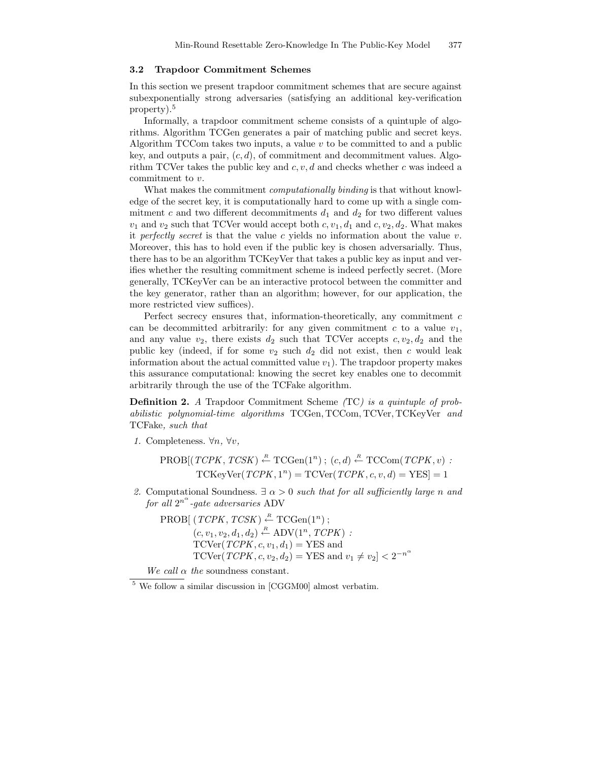#### 3.2 Trapdoor Commitment Schemes

In this section we present trapdoor commitment schemes that are secure against subexponentially strong adversaries (satisfying an additional key-verification property).<sup>5</sup>

Informally, a trapdoor commitment scheme consists of a quintuple of algorithms. Algorithm TCGen generates a pair of matching public and secret keys. Algorithm TCCom takes two inputs, a value  $v$  to be committed to and a public key, and outputs a pair,  $(c, d)$ , of commitment and decommitment values. Algorithm TCVer takes the public key and  $c, v, d$  and checks whether c was indeed a commitment to v.

What makes the commitment computationally binding is that without knowledge of the secret key, it is computationally hard to come up with a single commitment c and two different decommitments  $d_1$  and  $d_2$  for two different values  $v_1$  and  $v_2$  such that TCVer would accept both  $c, v_1, d_1$  and  $c, v_2, d_2$ . What makes it *perfectly secret* is that the value c yields no information about the value  $v$ . Moreover, this has to hold even if the public key is chosen adversarially. Thus, there has to be an algorithm TCKeyVer that takes a public key as input and verifies whether the resulting commitment scheme is indeed perfectly secret. (More generally, TCKeyVer can be an interactive protocol between the committer and the key generator, rather than an algorithm; however, for our application, the more restricted view suffices).

Perfect secrecy ensures that, information-theoretically, any commitment c can be decommitted arbitrarily: for any given commitment  $c$  to a value  $v_1$ , and any value  $v_2$ , there exists  $d_2$  such that TCVer accepts  $c, v_2, d_2$  and the public key (indeed, if for some  $v_2$  such  $d_2$  did not exist, then c would leak information about the actual committed value  $v_1$ ). The trapdoor property makes this assurance computational: knowing the secret key enables one to decommit arbitrarily through the use of the TCFake algorithm.

Definition 2. A Trapdoor Commitment Scheme (TC) is a quintuple of probabilistic polynomial-time algorithms TCGen, TCCom, TCVer, TCKeyVer and TCFake, such that

1. Completeness.  $\forall n, \forall v$ ,

$$
\text{PROB}[(TCPK, TCSK) \stackrel{R}{\leftarrow} \text{TCGen}(1^n); (c, d) \stackrel{R}{\leftarrow} \text{TCCom}(TCPK, v) :
$$
  

$$
\text{TCKeyVer}(TCPK, 1^n) = \text{TCVer}(TCPK, c, v, d) = \text{YES}] = 1
$$

2. Computational Soundness.  $\exists \alpha > 0$  such that for all sufficiently large n and  $for\ all\ 2^{n^{\alpha}}\textit{-gate\ adversaries}$  ADV

 $PROB[$  (*TCPK*, *TCSK*)  $\stackrel{R}{\leftarrow}$  TCGen(1<sup>n</sup>);  $(c, v_1, v_2, d_1, d_2) \stackrel{R}{\leftarrow} \text{ADV}(1^n, TCPK)$ : TCVer( $TCPK, c, v_1, d_1$ ) = YES and TCVer( $TCPK, c, v_2, d_2)$  = YES and  $v_1 \neq v_2$ ) <  $2^{-n^{\alpha}}$ 

We call  $\alpha$  the soundness constant.

 $5$  We follow a similar discussion in [CGGM00] almost verbatim.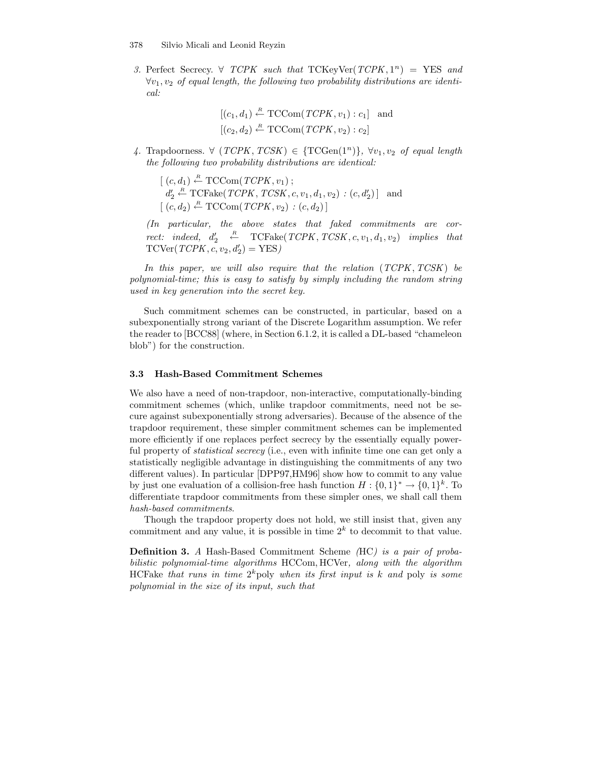3. Perfect Secrecy.  $\forall$  TCPK such that TCKeyVer(TCPK, 1<sup>n</sup>) = YES and  $\forall v_1, v_2$  of equal length, the following two probability distributions are identical:

$$
[(c_1, d_1) \stackrel{R}{\leftarrow} \text{TCCom}(TCPK, v_1) : c_1]
$$
 and 
$$
[(c_2, d_2) \stackrel{R}{\leftarrow} \text{TCCom}(TCPK, v_2) : c_2]
$$

4. Trapdoorness.  $\forall$  (TCPK, TCSK)  $\in$  {TCGen(1<sup>n</sup>)},  $\forall v_1, v_2$  of equal length the following two probability distributions are identical:

 $[(c, d_1)]$  $\left[ (c, d_1) \stackrel{R}{\leftarrow} \text{TCCom}(TCPK, v_1) ; \right]$  $d'_2 \stackrel{R}{\leftarrow} \text{TCFake}(TCPK, TCSK, c, v_1, d_1, v_2) : (c, d'_2) ]$  and  $[(c, d_2) \stackrel{R}{\leftarrow} \text{TCCom}(TCPK, v_2) : (c, d_2)]$ 

(In particular, the above states that faked commitments are correct: indeed,  $d'_2 \stackrel{R}{\leftarrow} \text{TCFake}(TCPK, TCSK, c, v_1, d_1, v_2)$  implies that  $\text{TCVer}(TCPK, c, v_2, d'_2) = \text{YES})$ 

In this paper, we will also require that the relation (TCPK, TCSK) be polynomial-time; this is easy to satisfy by simply including the random string used in key generation into the secret key.

Such commitment schemes can be constructed, in particular, based on a subexponentially strong variant of the Discrete Logarithm assumption. We refer the reader to [BCC88] (where, in Section 6.1.2, it is called a DL-based "chameleon blob") for the construction.

#### 3.3 Hash-Based Commitment Schemes

We also have a need of non-trapdoor, non-interactive, computationally-binding commitment schemes (which, unlike trapdoor commitments, need not be secure against subexponentially strong adversaries). Because of the absence of the trapdoor requirement, these simpler commitment schemes can be implemented more efficiently if one replaces perfect secrecy by the essentially equally powerful property of *statistical secrecy* (i.e., even with infinite time one can get only a statistically negligible advantage in distinguishing the commitments of any two different values). In particular [DPP97,HM96] show how to commit to any value by just one evaluation of a collision-free hash function  $H: \{0,1\}^* \to \{0,1\}^k$ . To differentiate trapdoor commitments from these simpler ones, we shall call them hash-based commitments.

Though the trapdoor property does not hold, we still insist that, given any commitment and any value, it is possible in time  $2<sup>k</sup>$  to decommit to that value.

Definition 3. A Hash-Based Commitment Scheme (HC) is a pair of probabilistic polynomial-time algorithms HCCom, HCVer, along with the algorithm HCFake that runs in time  $2^k$  poly when its first input is k and poly is some polynomial in the size of its input, such that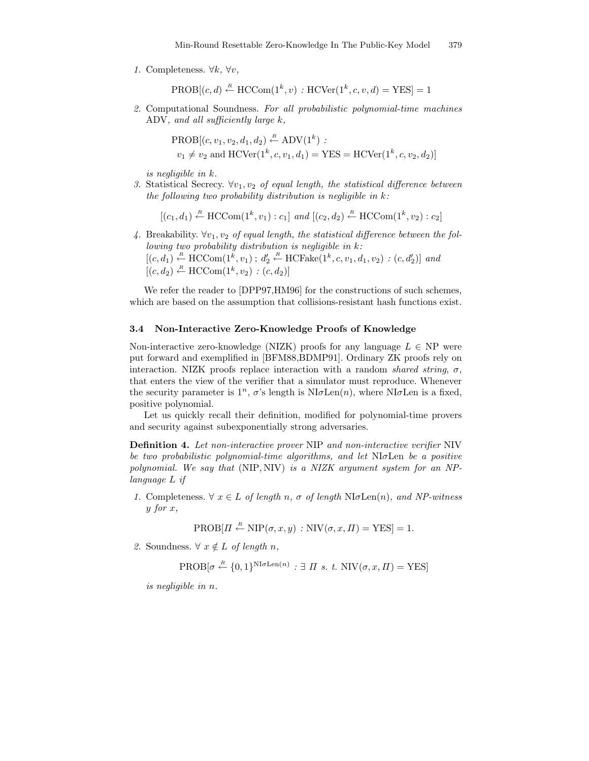1. Completeness.  $\forall k, \forall v$ ,

$$
PROB[(c, d) \stackrel{R}{\leftarrow} HCCom(1^k, v) : HCVer(1^k, c, v, d) = YES] = 1
$$

2. Computational Soundness. For all probabilistic polynomial-time machines ADV, and all sufficiently large k,

> $\mathrm{PROB}[(c, v_1, v_2, d_1, d_2) \stackrel{R}{\leftarrow} \mathrm{ADV}(1^k)$ :  $v_1 \neq v_2$  and  $HCVer(1^k, c, v_1, d_1) = \text{YES} = HCVer(1^k, c, v_2, d_2)]$

is negligible in k.

3. Statistical Secrecy.  $\forall v_1, v_2$  of equal length, the statistical difference between the following two probability distribution is negligible in  $k$ :

$$
[(c_1, d_1) \stackrel{R}{\leftarrow} \text{HCCom}(1^k, v_1) : c_1]
$$
 and  $[(c_2, d_2) \stackrel{R}{\leftarrow} \text{HCCom}(1^k, v_2) : c_2]$ 

4. Breakability.  $\forall v_1, v_2$  of equal length, the statistical difference between the following two probability distribution is negligible in  $k$ :  $[(c, d_1) \stackrel{R}{\leftarrow} \text{HCCom}(1^k, v_1); d'_2 \stackrel{R}{\leftarrow} \text{HCFake}(1^k, c, v_1, d_1, v_2) : (c, d'_2)]$  and  $[(c, d_2) \stackrel{R}{\leftarrow} \text{HCCom}(1^k, v_2) : (c, d_2)]$ 

We refer the reader to [DPP97, HM96] for the constructions of such schemes, which are based on the assumption that collisions-resistant hash functions exist.

#### 3.4 Non-Interactive Zero-Knowledge Proofs of Knowledge

Non-interactive zero-knowledge (NIZK) proofs for any language  $L \in NP$  were put forward and exemplified in [BFM88,BDMP91]. Ordinary ZK proofs rely on interaction. NIZK proofs replace interaction with a random shared string,  $\sigma$ , that enters the view of the verifier that a simulator must reproduce. Whenever the security parameter is  $1^n$ ,  $\sigma$ 's length is  $NI\sigma Len(n)$ , where  $NI\sigma Len$  is a fixed, positive polynomial.

Let us quickly recall their definition, modified for polynomial-time provers and security against subexponentially strong adversaries.

Definition 4. Let non-interactive prover NIP and non-interactive verifier NIV be two probabilistic polynomial-time algorithms, and let  $N_{I\sigma}$  Len be a positive polynomial. We say that (NIP, NIV) is a NIZK argument system for an NPlanguage L if

1. Completeness.  $\forall x \in L$  of length n,  $\sigma$  of length NI $\sigma$ Len $(n)$ , and NP-witness y for x,

 $PROB[H \stackrel{R}{\leftarrow} \text{NIP}(\sigma, x, y) : \text{NIV}(\sigma, x, \Pi) = \text{YES}] = 1.$ 

2. Soundness.  $\forall x \notin L$  of length n,

$$
\text{PROB}[\sigma \stackrel{R}{\leftarrow} \{0,1\}^{\text{NI}\sigma \text{Len}(n)} : \exists \Pi \ s. \ t. \ \text{NIV}(\sigma, x, \Pi) = \text{YES}]
$$

is negligible in n.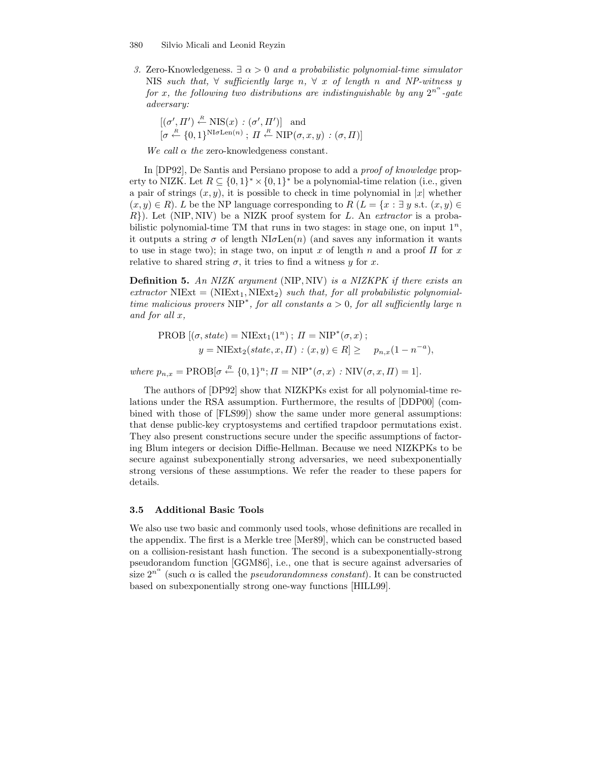3. Zero-Knowledgeness.  $\exists \alpha > 0$  and a probabilistic polynomial-time simulator NIS such that,  $\forall$  sufficiently large n,  $\forall$  x of length n and NP-witness y for x, the following two distributions are indistinguishable by any  $2^{n^{\alpha}}$ -gate adversary:

$$
[(\sigma', \Pi') \stackrel{R}{\leftarrow} \text{NIS}(x) : (\sigma', \Pi')]
$$
 and  

$$
[\sigma \stackrel{R}{\leftarrow} \{0, 1\}^{\text{NIoLen}(n)}; \Pi \stackrel{R}{\leftarrow} \text{NIP}(\sigma, x, y) : (\sigma, \Pi)]
$$

We call  $\alpha$  the zero-knowledgeness constant.

In [DP92], De Santis and Persiano propose to add a *proof of knowledge* property to NIZK. Let  $R \subseteq \{0,1\}^* \times \{0,1\}^*$  be a polynomial-time relation (i.e., given a pair of strings  $(x, y)$ , it is possible to check in time polynomial in |x| whether  $(x, y) \in R$ ). L be the NP language corresponding to  $R(L = \{x : \exists y \text{ s.t. } (x, y) \in R\})$  $R$ ). Let (NIP, NIV) be a NIZK proof system for L. An *extractor* is a probabilistic polynomial-time TM that runs in two stages: in stage one, on input  $1^n$ , it outputs a string  $\sigma$  of length  $NI\sigma Len(n)$  (and saves any information it wants to use in stage two); in stage two, on input x of length n and a proof  $\Pi$  for x relative to shared string  $\sigma$ , it tries to find a witness y for x.

**Definition 5.** An NIZK argument (NIP, NIV) is a NIZKPK if there exists an extractor NIExt =  $(NIExt_1, NIExt_2)$  such that, for all probabilistic polynomialtime malicious provers NIP<sup>\*</sup>, for all constants  $a > 0$ , for all sufficiently large n and for all x,

PROB 
$$
[(\sigma, state) = \text{NIExt}_1(1^n); H = \text{NIP}^*(\sigma, x);
$$
\n $y = \text{NIExt}_2(state, x, H) : (x, y) \in R] \geq p_{n,x}(1 - n^{-a}),$ 

where  $p_{n,x} = \text{PROB}[\sigma \stackrel{R}{\leftarrow} \{0,1\}^n; \Pi = \text{NIP}^*(\sigma, x) : \text{NIV}(\sigma, x, \Pi) = 1].$ 

The authors of [DP92] show that NIZKPKs exist for all polynomial-time relations under the RSA assumption. Furthermore, the results of [DDP00] (combined with those of [FLS99]) show the same under more general assumptions: that dense public-key cryptosystems and certified trapdoor permutations exist. They also present constructions secure under the specific assumptions of factoring Blum integers or decision Diffie-Hellman. Because we need NIZKPKs to be secure against subexponentially strong adversaries, we need subexponentially strong versions of these assumptions. We refer the reader to these papers for details.

#### 3.5 Additional Basic Tools

We also use two basic and commonly used tools, whose definitions are recalled in the appendix. The first is a Merkle tree [Mer89], which can be constructed based on a collision-resistant hash function. The second is a subexponentially-strong pseudorandom function [GGM86], i.e., one that is secure against adversaries of size  $2^{n^{\alpha}}$  (such  $\alpha$  is called the *pseudorandomness constant*). It can be constructed based on subexponentially strong one-way functions [HILL99].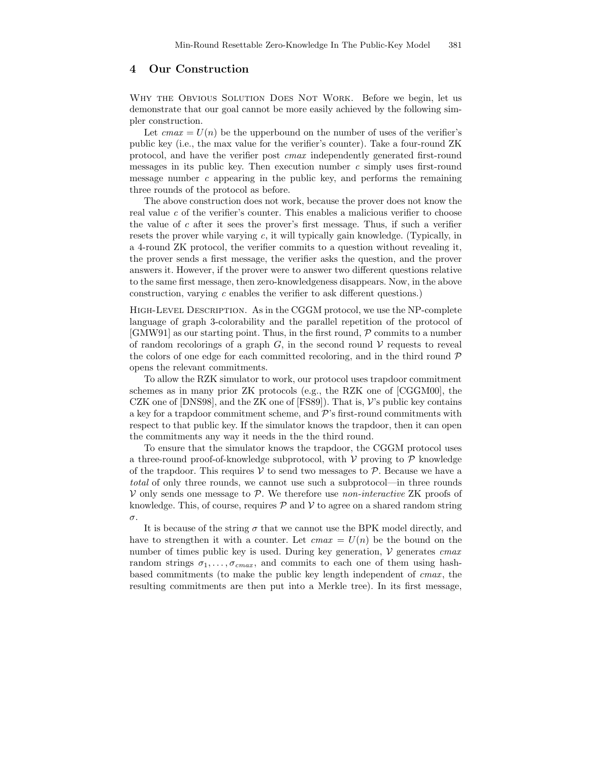# 4 Our Construction

WHY THE OBVIOUS SOLUTION DOES NOT WORK. Before we begin, let us demonstrate that our goal cannot be more easily achieved by the following simpler construction.

Let  $cmax = U(n)$  be the upperbound on the number of uses of the verifier's public key (i.e., the max value for the verifier's counter). Take a four-round ZK protocol, and have the verifier post cmax independently generated first-round messages in its public key. Then execution number  $c$  simply uses first-round message number  $c$  appearing in the public key, and performs the remaining three rounds of the protocol as before.

The above construction does not work, because the prover does not know the real value  $c$  of the verifier's counter. This enables a malicious verifier to choose the value of c after it sees the prover's first message. Thus, if such a verifier resets the prover while varying  $c$ , it will typically gain knowledge. (Typically, in a 4-round ZK protocol, the verifier commits to a question without revealing it, the prover sends a first message, the verifier asks the question, and the prover answers it. However, if the prover were to answer two different questions relative to the same first message, then zero-knowledgeness disappears. Now, in the above construction, varying  $c$  enables the verifier to ask different questions.)

High-Level Description. As in the CGGM protocol, we use the NP-complete language of graph 3-colorability and the parallel repetition of the protocol of  $[GMW91]$  as our starting point. Thus, in the first round,  $P$  commits to a number of random recolorings of a graph  $G$ , in the second round  $V$  requests to reveal the colors of one edge for each committed recoloring, and in the third round  $\mathcal P$ opens the relevant commitments.

To allow the RZK simulator to work, our protocol uses trapdoor commitment schemes as in many prior ZK protocols (e.g., the RZK one of [CGGM00], the CZK one of  $[DNS98]$ , and the ZK one of  $[FS89]$ ). That is, V's public key contains a key for a trapdoor commitment scheme, and  $\mathcal{P}'$ 's first-round commitments with respect to that public key. If the simulator knows the trapdoor, then it can open the commitments any way it needs in the the third round.

To ensure that the simulator knows the trapdoor, the CGGM protocol uses a three-round proof-of-knowledge subprotocol, with  $V$  proving to  $P$  knowledge of the trapdoor. This requires  $V$  to send two messages to  $\mathcal{P}$ . Because we have a total of only three rounds, we cannot use such a subprotocol—in three rounds  $V$  only sends one message to  $\mathcal{P}$ . We therefore use *non-interactive* ZK proofs of knowledge. This, of course, requires  $P$  and  $V$  to agree on a shared random string σ.

It is because of the string  $\sigma$  that we cannot use the BPK model directly, and have to strengthen it with a counter. Let  $cmax = U(n)$  be the bound on the number of times public key is used. During key generation,  $\mathcal V$  generates cmax random strings  $\sigma_1, \ldots, \sigma_{cmax}$ , and commits to each one of them using hashbased commitments (to make the public key length independent of cmax , the resulting commitments are then put into a Merkle tree). In its first message,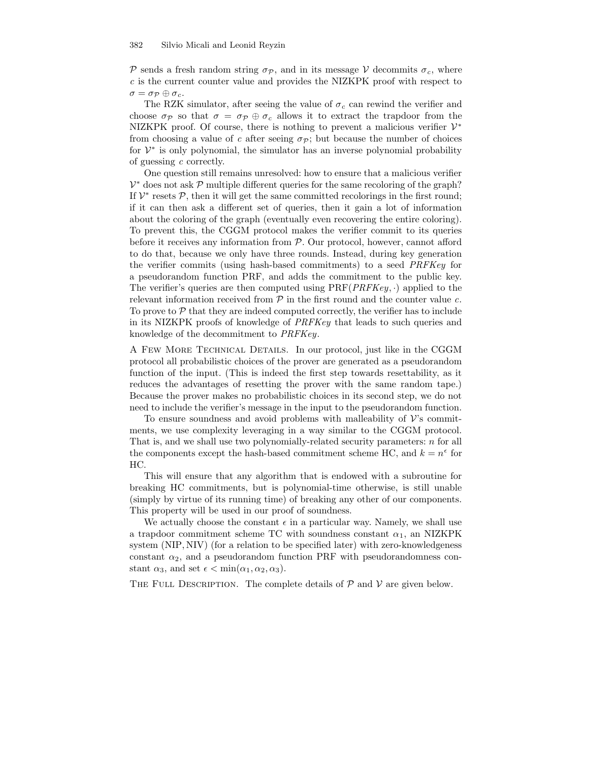P sends a fresh random string  $\sigma_{\mathcal{P}}$ , and in its message V decommits  $\sigma_c$ , where c is the current counter value and provides the NIZKPK proof with respect to  $\sigma = \sigma_{\mathcal{P}} \oplus \sigma_c.$ 

The RZK simulator, after seeing the value of  $\sigma_c$  can rewind the verifier and choose  $\sigma_{\mathcal{P}}$  so that  $\sigma = \sigma_{\mathcal{P}} \oplus \sigma_c$  allows it to extract the trapdoor from the NIZKPK proof. Of course, there is nothing to prevent a malicious verifier  $\mathcal{V}^*$ from choosing a value of c after seeing  $\sigma_{\mathcal{P}}$ ; but because the number of choices for  $\mathcal{V}^*$  is only polynomial, the simulator has an inverse polynomial probability of guessing c correctly.

One question still remains unresolved: how to ensure that a malicious verifier  $\mathcal{V}^*$  does not ask  $\mathcal P$  multiple different queries for the same recoloring of the graph? If  $\mathcal{V}^*$  resets  $\mathcal{P}$ , then it will get the same committed recolorings in the first round; if it can then ask a different set of queries, then it gain a lot of information about the coloring of the graph (eventually even recovering the entire coloring). To prevent this, the CGGM protocol makes the verifier commit to its queries before it receives any information from  $P$ . Our protocol, however, cannot afford to do that, because we only have three rounds. Instead, during key generation the verifier commits (using hash-based commitments) to a seed PRFKey for a pseudorandom function PRF, and adds the commitment to the public key. The verifier's queries are then computed using  $PRF(PRFKey, \cdot)$  applied to the relevant information received from  $P$  in the first round and the counter value  $c$ . To prove to  $P$  that they are indeed computed correctly, the verifier has to include in its NIZKPK proofs of knowledge of PRFKey that leads to such queries and knowledge of the decommitment to PRFKey.

A Few More Technical Details. In our protocol, just like in the CGGM protocol all probabilistic choices of the prover are generated as a pseudorandom function of the input. (This is indeed the first step towards resettability, as it reduces the advantages of resetting the prover with the same random tape.) Because the prover makes no probabilistic choices in its second step, we do not need to include the verifier's message in the input to the pseudorandom function.

To ensure soundness and avoid problems with malleability of  $\mathcal V$ 's commitments, we use complexity leveraging in a way similar to the CGGM protocol. That is, and we shall use two polynomially-related security parameters:  $n$  for all the components except the hash-based commitment scheme HC, and  $k = n^{\epsilon}$  for HC.

This will ensure that any algorithm that is endowed with a subroutine for breaking HC commitments, but is polynomial-time otherwise, is still unable (simply by virtue of its running time) of breaking any other of our components. This property will be used in our proof of soundness.

We actually choose the constant  $\epsilon$  in a particular way. Namely, we shall use a trapdoor commitment scheme TC with soundness constant  $\alpha_1$ , an NIZKPK system (NIP, NIV) (for a relation to be specified later) with zero-knowledgeness constant  $\alpha_2$ , and a pseudorandom function PRF with pseudorandomness constant  $\alpha_3$ , and set  $\epsilon < \min(\alpha_1, \alpha_2, \alpha_3)$ .

THE FULL DESCRIPTION. The complete details of  $P$  and  $V$  are given below.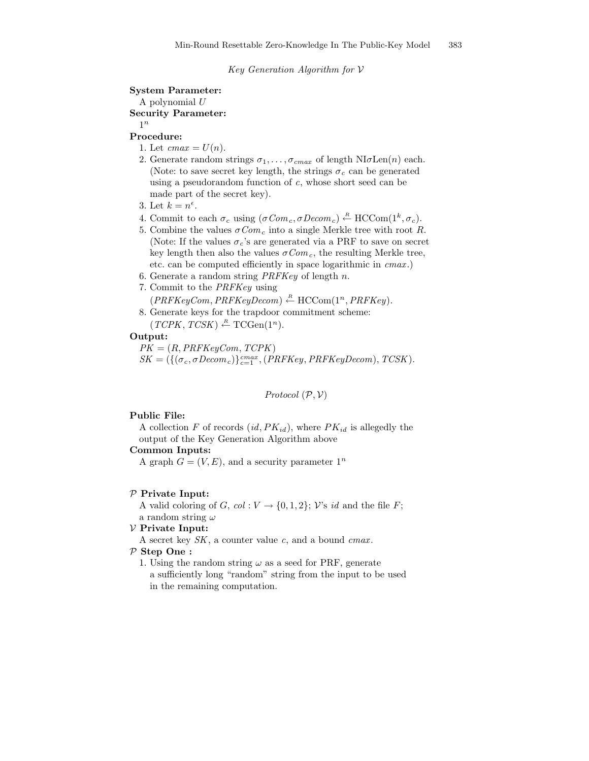Key Generation Algorithm for V

System Parameter:

A polynomial  $U$ 

#### Security Parameter:

 $1<sup>n</sup>$ Procedure:

- 1. Let  $cmax = U(n)$ .
- 2. Generate random strings  $\sigma_1, \ldots, \sigma_{cmax}$  of length NI $\sigma$ Len $(n)$  each. (Note: to save secret key length, the strings  $\sigma_c$  can be generated using a pseudorandom function of  $c$ , whose short seed can be made part of the secret key).
- 3. Let  $k = n^{\epsilon}$ .
- 4. Commit to each  $\sigma_c$  using  $(\sigma Com_c, \sigma Decom_c) \stackrel{R}{\leftarrow} \text{HCCom}(1^k, \sigma_c)$ .
- 5. Combine the values  $\sigma Com_c$  into a single Merkle tree with root R. (Note: If the values  $\sigma_c$ 's are generated via a PRF to save on secret key length then also the values  $\sigma Com_c$ , the resulting Merkle tree, etc. can be computed efficiently in space logarithmic in cmax .)
- 6. Generate a random string  $PRFKey$  of length n.
- 7. Commit to the PRFKey using
	- $(PRFKeyCom, PRFKeyDecom) \stackrel{R}{\leftarrow} HCCom(1^n, PRFKey).$
- 8. Generate keys for the trapdoor commitment scheme:

 $(TCPK, TCSK) \stackrel{R}{\leftarrow} \text{TCGen}(1^n).$ 

### Output:

 $PK = (R, PRFKeyCom, TCPK)$  $SK = (\{(\sigma_c, \sigma Decom_c)\}_{c=1}^{cmax}, (PRFKey, PRFKeyDecom), TCSK).$ 

Protocol  $(\mathcal{P}, \mathcal{V})$ 

# Public File:

A collection F of records  $(id, PK_{id})$ , where  $PK_{id}$  is allegedly the output of the Key Generation Algorithm above

#### Common Inputs:

A graph  $G = (V, E)$ , and a security parameter  $1^n$ 

#### $P$  Private Input:

A valid coloring of G,  $col: V \rightarrow \{0, 1, 2\}$ ; V's id and the file F; a random string  $\omega$ 

#### V Private Input:

A secret key  $SK$ , a counter value c, and a bound cmax.

#### P Step One :

1. Using the random string  $\omega$  as a seed for PRF, generate a sufficiently long "random" string from the input to be used in the remaining computation.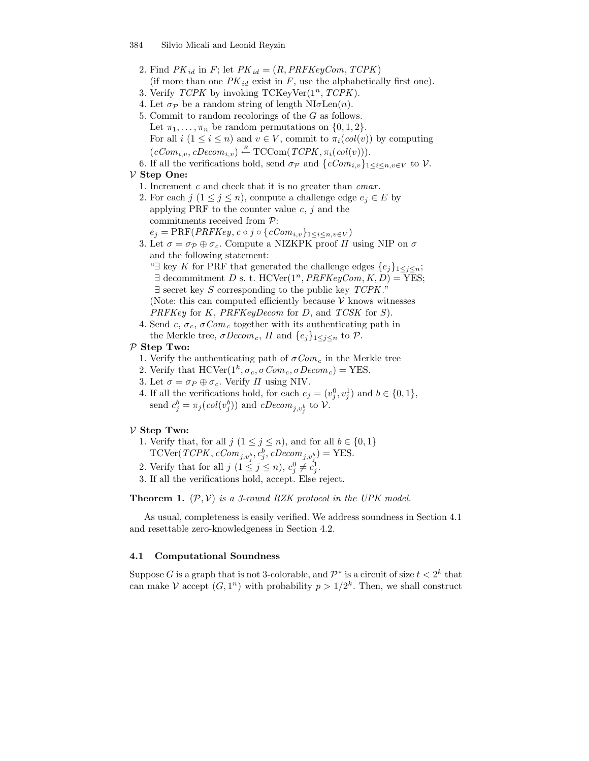- 384 Silvio Micali and Leonid Reyzin
	- 2. Find  $PK_{id}$  in F; let  $PK_{id} = (R, PRFKeyCom, TCPK)$ (if more than one  $PK_{id}$  exist in F, use the alphabetically first one).
	- 3. Verify  $TCPK$  by invoking  $TCKeyVer(1<sup>n</sup>, *TCPK*).$
	- 4. Let  $\sigma_{\mathcal{P}}$  be a random string of length NI $\sigma$ Len $(n)$ .
	- 5. Commit to random recolorings of the G as follows. Let  $\pi_1, \ldots, \pi_n$  be random permutations on  $\{0, 1, 2\}.$ For all  $i$   $(1 \leq i \leq n)$  and  $v \in V$ , commit to  $\pi_i\left(\text{col}(v)\right)$  by computing  $(cCom_{i,v}, cDecom_{i,v}) \stackrel{R}{\leftarrow} \text{TCCom}(TCPK, \pi_i(col(v))).$
	- 6. If all the verifications hold, send  $\sigma_{\mathcal{P}}$  and  $\{cCom_{i,v}\}_{1\leq i\leq n,v\in V}$  to  $\mathcal{V}$ .

# V Step One:

- 1. Increment c and check that it is no greater than *cmax*.
- 2. For each j  $(1 \leq j \leq n)$ , compute a challenge edge  $e_j \in E$  by applying PRF to the counter value  $c, j$  and the commitments received from  $P$ :
	- $e_j = \text{PRF}(PRFKey, c \circ j \circ \{cCom_{i,v}\}_{1 \leq i \leq n, v \in V})$
- 3. Let  $\sigma = \sigma_{\mathcal{P}} \oplus \sigma_c$ . Compute a NIZKPK proof  $\Pi$  using NIP on  $\sigma$ and the following statement:

"∃ key K for PRF that generated the challenge edges  $\{e_i\}_{1\leq i\leq n}$ ;  $\exists$  decommitment D s. t. HCVer $(1^n, PRFKeyCom, K, D) = \text{YES};$  $\exists$  secret key S corresponding to the public key TCPK." (Note: this can computed efficiently because  $V$  knows witnesses  $PRFKey$  for  $K$ ,  $PRFKeyDecom$  for  $D$ , and  $TCSK$  for  $S$ ).

4. Send c,  $\sigma_c$ ,  $\sigma Com_c$  together with its authenticating path in the Merkle tree,  $\sigma Decom_c$ ,  $\Pi$  and  $\{e_j\}_{1 \leq j \leq n}$  to  $P$ .

# P Step Two:

- 1. Verify the authenticating path of  $\sigma Com_c$  in the Merkle tree
- 2. Verify that  $\text{HCVer}(1^k, \sigma_c, \sigma \text{Com}_c, \sigma \text{Decom}_c) = \text{YES}.$
- 3. Let  $\sigma = \sigma_P \oplus \sigma_c$ . Verify  $\Pi$  using NIV.
- 4. If all the verifications hold, for each  $e_j = (v_j^0, v_j^1)$  and  $b \in \{0, 1\}$ , send  $c_j^b = \pi_j(col(v_j^b))$  and  $cDecom_{j, v_j^b}$  to  $\mathcal{V}$ .

# $V$  Step Two:

- 1. Verify that, for all  $j$   $(1 \leq j \leq n)$ , and for all  $b \in \{0, 1\}$  $\text{TCVer}(\textit{TCPK}, \textit{cCom}_{j,v_j^b}, c_j^b, \textit{cDecom}_{j,v_j^b}) = \text{YES}.$
- 2. Verify that for all  $j (1 \leq j \leq n)$ ,  $c_j^0 \neq c_j^1$ .
- 3. If all the verifications hold, accept. Else reject.

## **Theorem 1.**  $(\mathcal{P}, \mathcal{V})$  is a 3-round RZK protocol in the UPK model.

As usual, completeness is easily verified. We address soundness in Section 4.1 and resettable zero-knowledgeness in Section 4.2.

### 4.1 Computational Soundness

Suppose G is a graph that is not 3-colorable, and  $\mathcal{P}^*$  is a circuit of size  $t < 2^k$  that can make V accept  $(G, 1^n)$  with probability  $p > 1/2^k$ . Then, we shall construct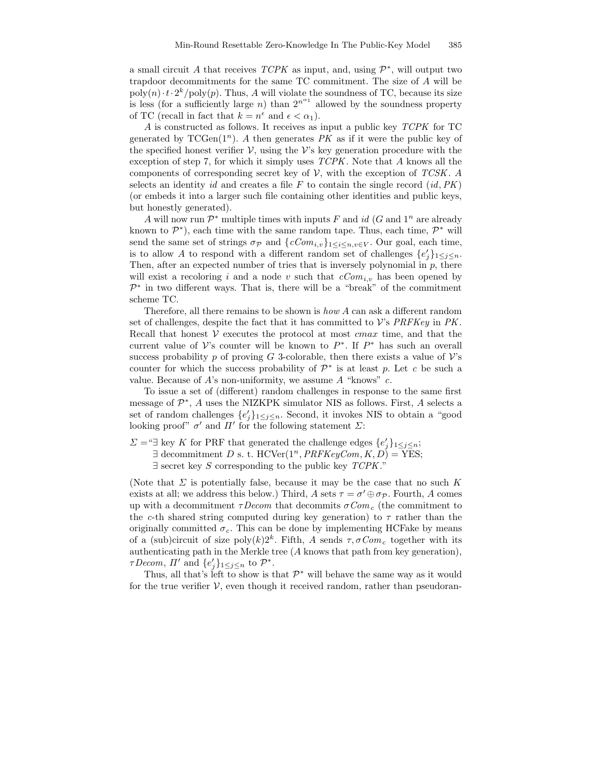a small circuit A that receives  $TCPK$  as input, and, using  $\mathcal{P}^*$ , will output two trapdoor decommitments for the same TC commitment. The size of A will be  $poly(n) \cdot t \cdot 2^k / poly(p)$ . Thus, A will violate the soundness of TC, because its size is less (for a sufficiently large *n*) than  $2^{n^{\alpha_1}}$  allowed by the soundness property of TC (recall in fact that  $k = n^{\epsilon}$  and  $\epsilon < \alpha_1$ ).

A is constructed as follows. It receives as input a public key TCPK for TC generated by  $TCGen(1^n)$ . A then generates PK as if it were the public key of the specified honest verifier  $V$ , using the  $V$ 's key generation procedure with the exception of step 7, for which it simply uses  $TCPK$ . Note that A knows all the components of corresponding secret key of  $V$ , with the exception of TCSK. A selects an identity id and creates a file F to contain the single record  $(id, PK)$ (or embeds it into a larger such file containing other identities and public keys, but honestly generated).

A will now run  $\mathcal{P}^*$  multiple times with inputs F and id (G and  $1^n$  are already known to  $\mathcal{P}^*$ ), each time with the same random tape. Thus, each time,  $\mathcal{P}^*$  will send the same set of strings  $\sigma_{\mathcal{P}}$  and  $\{cCom_{i,v}\}_{1\leq i\leq n,v\in V}$ . Our goal, each time, is to allow A to respond with a different random set of challenges  $\{e'_j\}_{1\leq j\leq n}$ . Then, after an expected number of tries that is inversely polynomial in  $p$ , there will exist a recoloring i and a node v such that  $cCom_{i,v}$  has been opened by  $\mathcal{P}^*$  in two different ways. That is, there will be a "break" of the commitment scheme TC.

Therefore, all there remains to be shown is how A can ask a different random set of challenges, despite the fact that it has committed to  $\mathcal{V}'$ s PRFKey in PK. Recall that honest  $V$  executes the protocol at most *cmax* time, and that the current value of V's counter will be known to  $P^*$ . If  $P^*$  has such an overall success probability p of proving G 3-colorable, then there exists a value of  $V$ 's counter for which the success probability of  $\mathcal{P}^*$  is at least p. Let c be such a value. Because of A's non-uniformity, we assume A "knows"  $c$ .

To issue a set of (different) random challenges in response to the same first message of  $\mathcal{P}^*$ , A uses the NIZKPK simulator NIS as follows. First, A selects a set of random challenges  $\{e'_j\}_{1\leq j\leq n}$ . Second, it invokes NIS to obtain a "good looking proof"  $\sigma'$  and  $\Pi'$  for the following statement  $\Sigma$ :

 $\Sigma = \mathbf{F} \exists$  key K for PRF that generated the challenge edges  $\{e'_j\}_{1 \leq j \leq n}$ ;  $\exists$  decommitment D s. t. HCVer $(1^n, PRFKeyCom, K, D)$  = YES;  $\exists$  secret key S corresponding to the public key TCPK."

(Note that  $\Sigma$  is potentially false, because it may be the case that no such K exists at all; we address this below.) Third, A sets  $\tau = \sigma' \oplus \sigma_{\mathcal{P}}$ . Fourth, A comes up with a decommitment  $\tau$ Decom that decommits  $\sigma$ Com<sub>c</sub> (the commitment to the c-th shared string computed during key generation) to  $\tau$  rather than the originally committed  $\sigma_c$ . This can be done by implementing HCFake by means of a (sub)circuit of size  $\text{poly}(k)2^k$ . Fifth, A sends  $\tau, \sigma \text{Com}_c$  together with its authenticating path in the Merkle tree (A knows that path from key generation),  $\tau$ Decom,  $\Pi'$  and  $\{e'_j\}_{1\leq j\leq n}$  to  $\mathcal{P}^*$ .

Thus, all that's left to show is that  $\mathcal{P}^*$  will behave the same way as it would for the true verifier  $\mathcal V$ , even though it received random, rather than pseudoran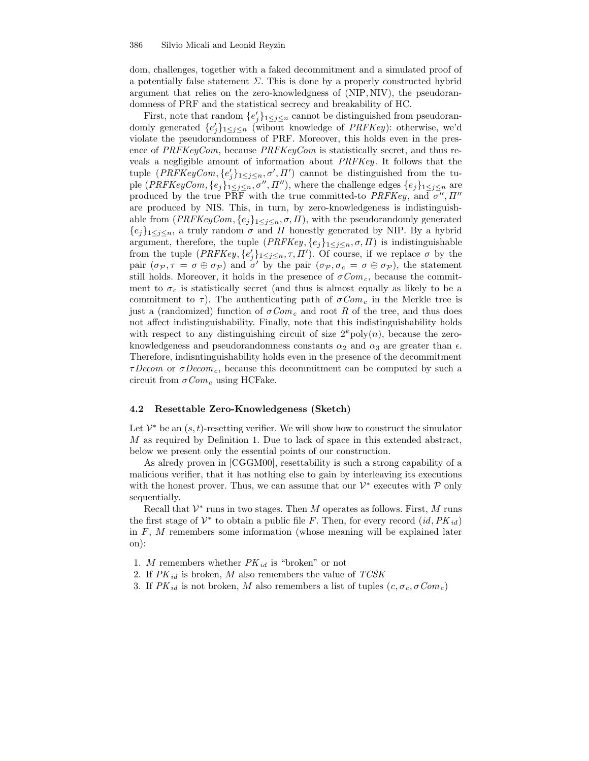dom, challenges, together with a faked decommitment and a simulated proof of a potentially false statement  $\Sigma$ . This is done by a properly constructed hybrid argument that relies on the zero-knowledgness of (NIP, NIV), the pseudorandomness of PRF and the statistical secrecy and breakability of HC.

First, note that random  $\{e'_j\}_{1 \leq j \leq n}$  cannot be distinguished from pseudorandomly generated  $\{e'_j\}_{1 \leq j \leq n}$  (wihout knowledge of *PRFKey*): otherwise, we'd violate the pseudorandomness of PRF. Moreover, this holds even in the presence of PRFKeyCom, because PRFKeyCom is statistically secret, and thus reveals a negligible amount of information about PRFKey. It follows that the tuple  $(PRFKeyCom, \{e_j'\}_{1 \leq j \leq n}, \sigma', \Pi')$  cannot be distinguished from the tuple  $(PRFKeyCom, \{e_j\}_{1\leq j\leq n}, \sigma'', \Pi'')$ , where the challenge edges  $\{e_j\}_{1\leq j\leq n}$  are produced by the true PRF with the true committed-to  $PRFKey$ , and  $\sigma'', \Pi''$ are produced by NIS. This, in turn, by zero-knowledgeness is indistinguishable from  $(PRFKeyCom, \{e_i\}_{1\leq i\leq n}, \sigma, \Pi)$ , with the pseudorandomly generated  ${e_i}_{1 \leq i \leq n}$ , a truly random  $\sigma$  and  $\Pi$  honestly generated by NIP. By a hybrid argument, therefore, the tuple  $(PRFKey, \{e_j\}_{1\leq j\leq n}, \sigma, \Pi)$  is indistinguishable from the tuple  $(PRFKey, \{e'_j\}_{1\leq j\leq n}, \tau, \Pi')$ . Of course, if we replace  $\sigma$  by the pair  $(\sigma_{\mathcal{P}}, \tau = \sigma \oplus \sigma_{\mathcal{P}})$  and  $\sigma'$  by the pair  $(\sigma_{\mathcal{P}}, \sigma_c = \sigma \oplus \sigma_{\mathcal{P}})$ , the statement still holds. Moreover, it holds in the presence of  $\sigma Com_c$ , because the commitment to  $\sigma_c$  is statistically secret (and thus is almost equally as likely to be a commitment to  $\tau$ ). The authenticating path of  $\sigma Com_c$  in the Merkle tree is just a (randomized) function of  $\sigma Com_c$  and root R of the tree, and thus does not affect indistinguishability. Finally, note that this indistinguishability holds with respect to any distinguishing circuit of size  $2^k \text{poly}(n)$ , because the zeroknowledgeness and pseudorandomness constants  $\alpha_2$  and  $\alpha_3$  are greater than  $\epsilon$ . Therefore, indisntinguishability holds even in the presence of the decommitment  $\tau$ Decom or  $\sigma$ Decom<sub>c</sub>, because this decommitment can be computed by such a circuit from  $\sigma Com_c$  using HCFake.

#### 4.2 Resettable Zero-Knowledgeness (Sketch)

Let  $\mathcal{V}^*$  be an  $(s,t)$ -resetting verifier. We will show how to construct the simulator M as required by Definition 1. Due to lack of space in this extended abstract, below we present only the essential points of our construction.

As alredy proven in [CGGM00], resettability is such a strong capability of a malicious verifier, that it has nothing else to gain by interleaving its executions with the honest prover. Thus, we can assume that our  $\mathcal{V}^*$  executes with  $\mathcal{P}$  only sequentially.

Recall that  $\mathcal{V}^*$  runs in two stages. Then M operates as follows. First, M runs the first stage of  $\mathcal{V}^*$  to obtain a public file F. Then, for every record  $(id, PK_{id})$ in  $F, M$  remembers some information (whose meaning will be explained later on):

- 1.  $M$  remembers whether  $PK_{id}$  is "broken" or not
- 2. If  $PK_{id}$  is broken, M also remembers the value of  $TCSK$
- 3. If  $PK_{id}$  is not broken, M also remembers a list of tuples  $(c, \sigma_c, \sigma Com_c)$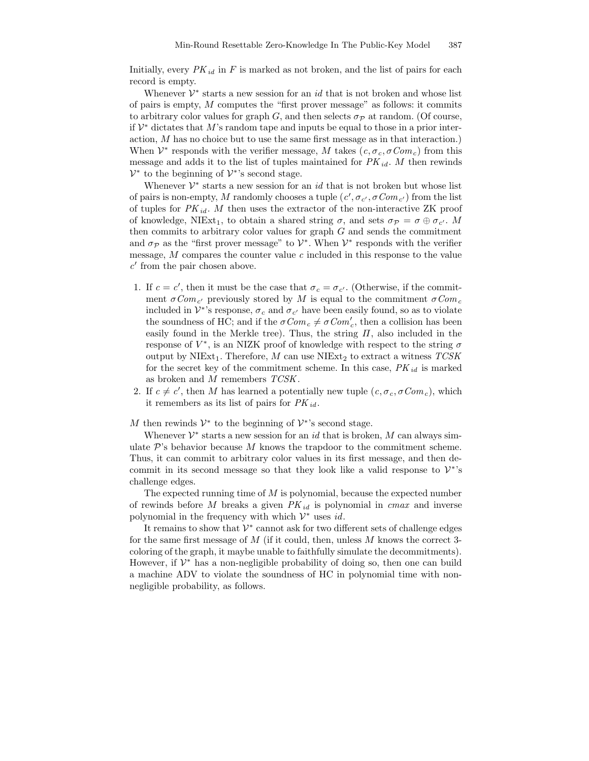Initially, every  $PK_{id}$  in F is marked as not broken, and the list of pairs for each record is empty.

Whenever  $\mathcal{V}^*$  starts a new session for an id that is not broken and whose list of pairs is empty,  $M$  computes the "first prover message" as follows: it commits to arbitrary color values for graph G, and then selects  $\sigma_{\mathcal{P}}$  at random. (Of course, if  $\mathcal{V}^*$  dictates that M's random tape and inputs be equal to those in a prior interaction, M has no choice but to use the same first message as in that interaction.) When  $\mathcal{V}^*$  responds with the verifier message, M takes  $(c, \sigma_c, \sigma Com_c)$  from this message and adds it to the list of tuples maintained for  $PK_{id}$ . M then rewinds  $\mathcal{V}^*$  to the beginning of  $\mathcal{V}^*$ 's second stage.

Whenever  $\mathcal{V}^*$  starts a new session for an *id* that is not broken but whose list of pairs is non-empty, M randomly chooses a tuple  $(c', \sigma_{c'}, \sigma Com_{c'})$  from the list of tuples for  $PK_{id}$ . M then uses the extractor of the non-interactive ZK proof of knowledge, NIExt<sub>1</sub>, to obtain a shared string  $\sigma$ , and sets  $\sigma_{\mathcal{P}} = \sigma \oplus \sigma_{c'}$ . M then commits to arbitrary color values for graph  $G$  and sends the commitment and  $\sigma_{\mathcal{P}}$  as the "first prover message" to  $\mathcal{V}^*$ . When  $\mathcal{V}^*$  responds with the verifier message,  $M$  compares the counter value  $c$  included in this response to the value  $c^\prime$  from the pair chosen above.

- 1. If  $c = c'$ , then it must be the case that  $\sigma_c = \sigma_{c'}$ . (Otherwise, if the commitment  $\sigma Com_{c'}$  previously stored by M is equal to the commitment  $\sigma Com_c$ included in  $\mathcal{V}^*$ 's response,  $\sigma_c$  and  $\sigma_{c'}$  have been easily found, so as to violate the soundness of HC; and if the  $\sigma Com_c \neq \sigma Com'_c$ , then a collision has been easily found in the Merkle tree). Thus, the string  $\Pi$ , also included in the response of  $V^*$ , is an NIZK proof of knowledge with respect to the string  $\sigma$ output by NIExt<sub>1</sub>. Therefore,  $M$  can use NIExt<sub>2</sub> to extract a witness  $TCSK$ for the secret key of the commitment scheme. In this case,  $PK_{id}$  is marked as broken and M remembers TCSK.
- 2. If  $c \neq c'$ , then M has learned a potentially new tuple  $(c, \sigma_c, \sigma Com_c)$ , which it remembers as its list of pairs for  $PK_{id}$ .

M then rewinds  $\mathcal{V}^*$  to the beginning of  $\mathcal{V}^*$ 's second stage.

Whenever  $\mathcal{V}^*$  starts a new session for an id that is broken, M can always simulate  $\mathcal{P}$ 's behavior because M knows the trapdoor to the commitment scheme. Thus, it can commit to arbitrary color values in its first message, and then decommit in its second message so that they look like a valid response to  $\mathcal{V}^*$ 's challenge edges.

The expected running time of M is polynomial, because the expected number of rewinds before M breaks a given  $PK_{id}$  is polynomial in cmax and inverse polynomial in the frequency with which  $\mathcal{V}^*$  uses id.

It remains to show that  $\mathcal{V}^*$  cannot ask for two different sets of challenge edges for the same first message of  $M$  (if it could, then, unless  $M$  knows the correct 3coloring of the graph, it maybe unable to faithfully simulate the decommitments). However, if  $V^*$  has a non-negligible probability of doing so, then one can build a machine ADV to violate the soundness of HC in polynomial time with nonnegligible probability, as follows.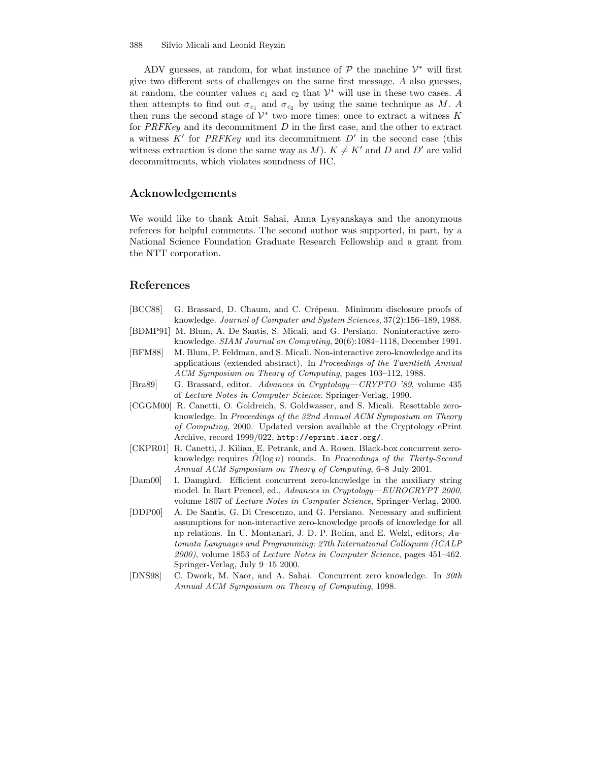ADV guesses, at random, for what instance of  $P$  the machine  $V^*$  will first give two different sets of challenges on the same first message. A also guesses, at random, the counter values  $c_1$  and  $c_2$  that  $\mathcal{V}^*$  will use in these two cases. A then attempts to find out  $\sigma_{c_1}$  and  $\sigma_{c_2}$  by using the same technique as M. A then runs the second stage of  $\mathcal{V}^*$  two more times: once to extract a witness K for  $PRFKey$  and its decommitment  $D$  in the first case, and the other to extract a witness  $K'$  for PRFKey and its decommitment  $D'$  in the second case (this witness extraction is done the same way as M).  $K \neq K'$  and D and D' are valid decommitments, which violates soundness of HC.

# Acknowledgements

We would like to thank Amit Sahai, Anna Lysyanskaya and the anonymous referees for helpful comments. The second author was supported, in part, by a National Science Foundation Graduate Research Fellowship and a grant from the NTT corporation.

# References

- [BCC88] G. Brassard, D. Chaum, and C. Crépeau. Minimum disclosure proofs of knowledge. Journal of Computer and System Sciences, 37(2):156–189, 1988.
- [BDMP91] M. Blum, A. De Santis, S. Micali, and G. Persiano. Noninteractive zeroknowledge. SIAM Journal on Computing, 20(6):1084–1118, December 1991.
- [BFM88] M. Blum, P. Feldman, and S. Micali. Non-interactive zero-knowledge and its applications (extended abstract). In Proceedings of the Twentieth Annual ACM Symposium on Theory of Computing, pages 103–112, 1988.
- [Bra89] G. Brassard, editor. Advances in Cryptology—CRYPTO '89, volume 435 of Lecture Notes in Computer Science. Springer-Verlag, 1990.
- [CGGM00] R. Canetti, O. Goldreich, S. Goldwasser, and S. Micali. Resettable zeroknowledge. In Proceedings of the 32nd Annual ACM Symposium on Theory of Computing, 2000. Updated version available at the Cryptology ePrint Archive, record 1999/022, http://eprint.iacr.org/.
- [CKPR01] R. Canetti, J. Kilian, E. Petrank, and A. Rosen. Black-box concurrent zeroknowledge requires  $\tilde{\Omega}(\log n)$  rounds. In Proceedings of the Thirty-Second Annual ACM Symposium on Theory of Computing, 6–8 July 2001.
- [Dam00] I. Damgård. Efficient concurrent zero-knowledge in the auxiliary string model. In Bart Preneel, ed., Advances in Cryptology—EUROCRYPT 2000, volume 1807 of Lecture Notes in Computer Science, Springer-Verlag, 2000.
- [DDP00] A. De Santis, G. Di Crescenzo, and G. Persiano. Necessary and sufficient assumptions for non-interactive zero-knowledge proofs of knowledge for all np relations. In U. Montanari, J. D. P. Rolim, and E. Welzl, editors, Automata Languages and Programming: 27th International Colloquim (ICALP 2000), volume 1853 of Lecture Notes in Computer Science, pages 451–462. Springer-Verlag, July 9–15 2000.
- [DNS98] C. Dwork, M. Naor, and A. Sahai. Concurrent zero knowledge. In 30th Annual ACM Symposium on Theory of Computing, 1998.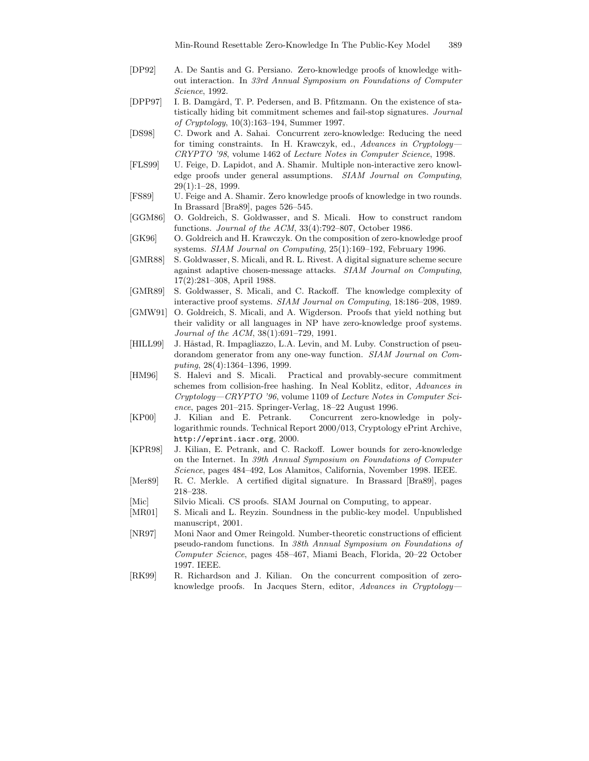- [DP92] A. De Santis and G. Persiano. Zero-knowledge proofs of knowledge without interaction. In 33rd Annual Symposium on Foundations of Computer Science, 1992.
- [DPP97] I. B. Damgård, T. P. Pedersen, and B. Pfitzmann. On the existence of statistically hiding bit commitment schemes and fail-stop signatures. Journal of Cryptology, 10(3):163–194, Summer 1997.
- [DS98] C. Dwork and A. Sahai. Concurrent zero-knowledge: Reducing the need for timing constraints. In H. Krawczyk, ed., Advances in Cryptology-CRYPTO '98, volume 1462 of Lecture Notes in Computer Science, 1998.
- [FLS99] U. Feige, D. Lapidot, and A. Shamir. Multiple non-interactive zero knowledge proofs under general assumptions. SIAM Journal on Computing, 29(1):1–28, 1999.
- [FS89] U. Feige and A. Shamir. Zero knowledge proofs of knowledge in two rounds. In Brassard [Bra89], pages 526–545.
- [GGM86] O. Goldreich, S. Goldwasser, and S. Micali. How to construct random functions. Journal of the ACM,  $33(4)$ :792–807, October 1986.
- [GK96] O. Goldreich and H. Krawczyk. On the composition of zero-knowledge proof systems. SIAM Journal on Computing, 25(1):169–192, February 1996.
- [GMR88] S. Goldwasser, S. Micali, and R. L. Rivest. A digital signature scheme secure against adaptive chosen-message attacks. SIAM Journal on Computing, 17(2):281–308, April 1988.
- [GMR89] S. Goldwasser, S. Micali, and C. Rackoff. The knowledge complexity of interactive proof systems. SIAM Journal on Computing, 18:186–208, 1989.
- [GMW91] O. Goldreich, S. Micali, and A. Wigderson. Proofs that yield nothing but their validity or all languages in NP have zero-knowledge proof systems. Journal of the ACM, 38(1):691–729, 1991.
- [HILL99] J. Håstad, R. Impagliazzo, L.A. Levin, and M. Luby. Construction of pseudorandom generator from any one-way function. SIAM Journal on Computing, 28(4):1364–1396, 1999.
- [HM96] S. Halevi and S. Micali. Practical and provably-secure commitment schemes from collision-free hashing. In Neal Koblitz, editor, Advances in Cryptology—CRYPTO '96, volume 1109 of Lecture Notes in Computer Science, pages 201–215. Springer-Verlag, 18–22 August 1996.
- [KP00] J. Kilian and E. Petrank. Concurrent zero-knowledge in polylogarithmic rounds. Technical Report 2000/013, Cryptology ePrint Archive, http://eprint.iacr.org, 2000.
- [KPR98] J. Kilian, E. Petrank, and C. Rackoff. Lower bounds for zero-knowledge on the Internet. In 39th Annual Symposium on Foundations of Computer Science, pages 484–492, Los Alamitos, California, November 1998. IEEE.
- [Mer89] R. C. Merkle. A certified digital signature. In Brassard [Bra89], pages 218–238.
- [Mic] Silvio Micali. CS proofs. SIAM Journal on Computing, to appear.
- [MR01] S. Micali and L. Reyzin. Soundness in the public-key model. Unpublished manuscript, 2001.
- [NR97] Moni Naor and Omer Reingold. Number-theoretic constructions of efficient pseudo-random functions. In 38th Annual Symposium on Foundations of Computer Science, pages 458–467, Miami Beach, Florida, 20–22 October 1997. IEEE.
- [RK99] R. Richardson and J. Kilian. On the concurrent composition of zeroknowledge proofs. In Jacques Stern, editor, Advances in Cryptology-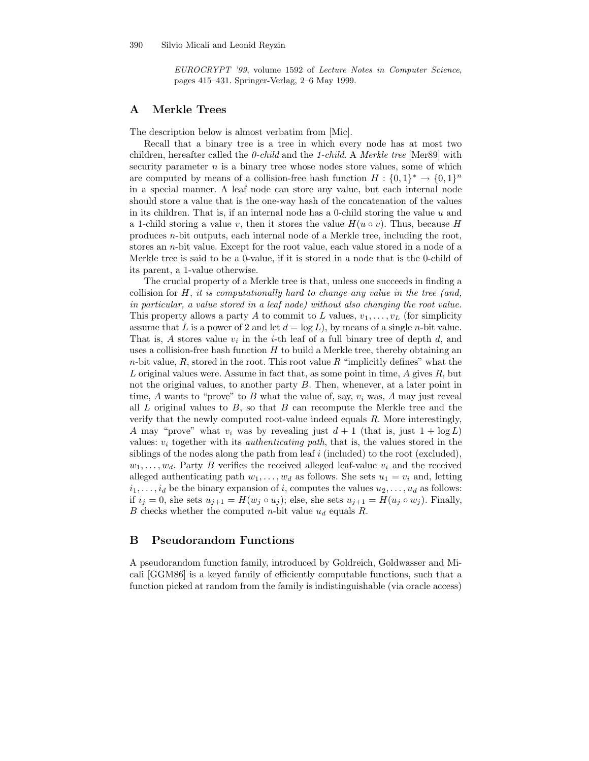EUROCRYPT '99, volume 1592 of Lecture Notes in Computer Science, pages 415–431. Springer-Verlag, 2–6 May 1999.

# A Merkle Trees

The description below is almost verbatim from [Mic].

Recall that a binary tree is a tree in which every node has at most two children, hereafter called the  $\theta$ -child and the 1-child. A Merkle tree [Mer89] with security parameter  $n$  is a binary tree whose nodes store values, some of which are computed by means of a collision-free hash function  $H: \{0,1\}^* \to \{0,1\}^n$ in a special manner. A leaf node can store any value, but each internal node should store a value that is the one-way hash of the concatenation of the values in its children. That is, if an internal node has a 0-child storing the value  $u$  and a 1-child storing a value v, then it stores the value  $H(u \circ v)$ . Thus, because H produces n-bit outputs, each internal node of a Merkle tree, including the root, stores an n-bit value. Except for the root value, each value stored in a node of a Merkle tree is said to be a 0-value, if it is stored in a node that is the 0-child of its parent, a 1-value otherwise.

The crucial property of a Merkle tree is that, unless one succeeds in finding a collision for  $H$ , it is computationally hard to change any value in the tree (and, in particular, a value stored in a leaf node) without also changing the root value. This property allows a party A to commit to L values,  $v_1, \ldots, v_L$  (for simplicity assume that L is a power of 2 and let  $d = \log L$ , by means of a single *n*-bit value. That is, A stores value  $v_i$  in the *i*-th leaf of a full binary tree of depth d, and uses a collision-free hash function  $H$  to build a Merkle tree, thereby obtaining an  $n$ -bit value,  $R$ , stored in the root. This root value  $R$  "implicitly defines" what the L original values were. Assume in fact that, as some point in time,  $A$  gives  $R$ , but not the original values, to another party B. Then, whenever, at a later point in time, A wants to "prove" to B what the value of, say,  $v_i$  was, A may just reveal all  $L$  original values to  $B$ , so that  $B$  can recompute the Merkle tree and the verify that the newly computed root-value indeed equals R. More interestingly, A may "prove" what  $v_i$  was by revealing just  $d+1$  (that is, just  $1+\log L$ ) values:  $v_i$  together with its *authenticating path*, that is, the values stored in the siblings of the nodes along the path from leaf  $i$  (included) to the root (excluded),  $w_1, \ldots, w_d$ . Party B verifies the received alleged leaf-value  $v_i$  and the received alleged authenticating path  $w_1, \ldots, w_d$  as follows. She sets  $u_1 = v_i$  and, letting  $i_1, \ldots, i_d$  be the binary expansion of i, computes the values  $u_2, \ldots, u_d$  as follows: if  $i_j = 0$ , she sets  $u_{j+1} = H(w_j \circ u_j)$ ; else, she sets  $u_{j+1} = H(u_j \circ w_j)$ . Finally, B checks whether the computed *n*-bit value  $u_d$  equals R.

# B Pseudorandom Functions

A pseudorandom function family, introduced by Goldreich, Goldwasser and Micali [GGM86] is a keyed family of efficiently computable functions, such that a function picked at random from the family is indistinguishable (via oracle access)